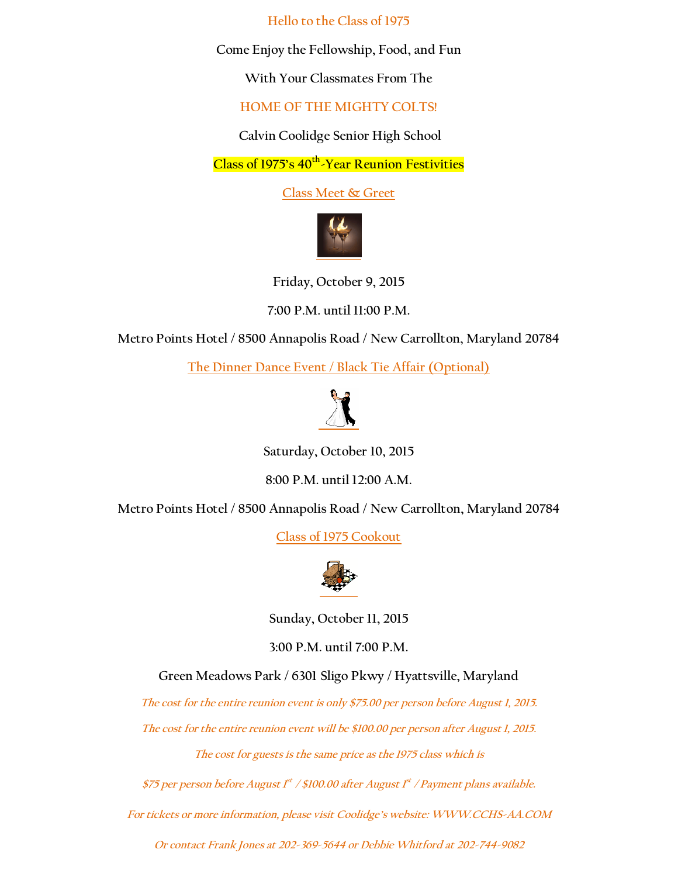**Hello to the Class of 1975**

**Come Enjoy the Fellowship, Food, and Fun**

**With Your Classmates From The**

**HOME OF THE MIGHTY COLTS!**

**Calvin Coolidge Senior High School**

**Class of 1975's 40th -Year Reunion Festivities**

**Class Meet & Greet**



**Friday, October 9, 2015**

**7:00 P.M. until 11:00 P.M.**

**Metro Points Hotel / 8500 Annapolis Road / New Carrollton, Maryland 20784**

**The Dinner Dance Event / Black Tie Affair (Optional)**



**Saturday, October 10, 2015**

**8:00 P.M. until 12:00 A.M.**

**Metro Points Hotel / 8500 Annapolis Road / New Carrollton, Maryland 20784**

**Class of 1975 Cookout**



**Sunday, October 11, 2015**

**3:00 P.M. until 7:00 P.M.**

**Green Meadows Park / 6301 Sligo Pkwy / Hyattsville, Maryland**

**The cost for the entire reunion event is only \$75.00 per person before August 1, 2015.**

**The cost for the entire reunion event will be \$100.00 per person after August 1, 2015.**

**The cost for guests is the same price as the 1975 class which is**

**\$75 per person before August 1 st / \$100.00 after August 1 st / Payment plans available.**

**For tickets or more information, please visit Coolidge's website: [WWW.CCHS-AA.COM](http://www.cchs-aa.com/)**

**Or contact Frank Jones at 202-369-5644 or Debbie Whitford at 202-744-9082**